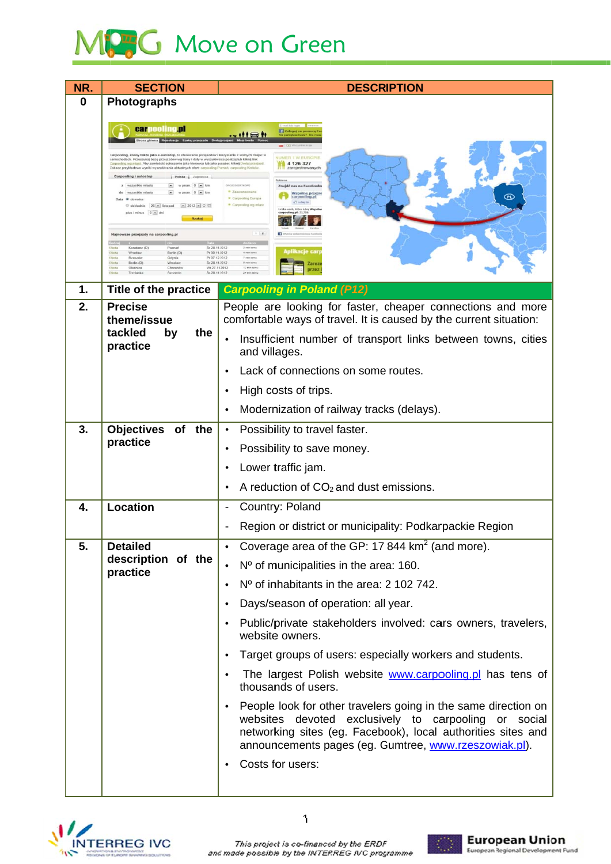## MC G Move on Green

| NR.           | <b>SECTION</b>                                                                                                                                                                                                                                                                                                                                                                                                   | <b>DESCRIPTION</b>                                                                                                                                                                                                                                                                                                                 |  |  |  |  |
|---------------|------------------------------------------------------------------------------------------------------------------------------------------------------------------------------------------------------------------------------------------------------------------------------------------------------------------------------------------------------------------------------------------------------------------|------------------------------------------------------------------------------------------------------------------------------------------------------------------------------------------------------------------------------------------------------------------------------------------------------------------------------------|--|--|--|--|
| 0             | <b>Photographs</b>                                                                                                                                                                                                                                                                                                                                                                                               |                                                                                                                                                                                                                                                                                                                                    |  |  |  |  |
|               | <b>carpooling.pl</b><br>Carpooling, znany także jako e-autostop, to oferowanie przejazdów i korzystanie z wolnych miej<br>samochodach. Przeszukaj bazę przejazdów wg trasy i daty w wyszukiwa ce poniżej lub kliknij link<br>Carpooling wg miast. Aby zamieścić ogłoszenie jako kierowca lub jako pasażer, kliknij Dodaj przejazd.                                                                               | Zaloguj za pome<br>$$ if the fi<br><b>NUMER 1 W EUROPIE</b>                                                                                                                                                                                                                                                                        |  |  |  |  |
|               | Zobacz przykładowe wyniki wyszukiwania aktualnych ofert: carpooling Peznań, carpo<br>Carpooling i autostop<br>Polska Zagranica<br>$w$ prom. $0$ $\boxed{w}$ km<br>z wszystkie miasta<br>$\boxed{\bullet}$ w prom. $0$ $\boxed{\bullet}$ km<br>do wszystkie miasta<br>Data <sup>@</sup> dowolna<br>$\circledcirc$ dokladnie 26 = listopad = 2012 = $\circledcirc$ $\Box$<br>plus / minus 0 = dni<br><b>Szukaj</b> | 4 126 327<br>zarejestrowanych<br>OPCJE DODATKOWE<br>Znajdź nas na Facebook<br>· Zaawansowane<br>Wspólne przejaz<br>carpooling.p<br><sup>a</sup> Carpooling Europa<br>a <sup>2</sup> Lubie to!<br><sup>o</sup> Carpooling wg mias                                                                                                   |  |  |  |  |
|               | Najnowsze przejazdy na carpooling.pl<br>Konstanz (D)<br>Poznań<br>Sr 28.11.2012<br>Oferta<br>Wrocław<br>Berlin (D)<br>Pt 30.11.2012<br>Pt 07, 12, 2012<br>Rzeszóv<br>Gdynia<br>Berlin (D)<br>Sr 28 11 2012<br>Wrocław<br>Wt 27.112012<br>Oleśnica<br>Chrzanów<br>Trzcianka<br>Śr 28.11.2012                                                                                                                      | $12$<br><b>Aplikacje car</b><br>4 min tems<br>7 min tems<br>Zarez<br>12 min tem                                                                                                                                                                                                                                                    |  |  |  |  |
| $\mathbf 1$ . | <b>Title of the practice</b>                                                                                                                                                                                                                                                                                                                                                                                     | <b>Carpooling in Poland (P12)</b>                                                                                                                                                                                                                                                                                                  |  |  |  |  |
| 2.            | <b>Precise</b><br>theme/issue<br>tackled<br>by<br>the<br>practice                                                                                                                                                                                                                                                                                                                                                | People are looking for faster, cheaper connections and more<br>comfortable ways of travel. It is caused by the current situation:<br>Insufficient number of transport links between towns, cities<br>$\bullet$<br>and villages.                                                                                                    |  |  |  |  |
|               |                                                                                                                                                                                                                                                                                                                                                                                                                  | Lack of connections on some routes.<br>High costs of trips.<br>Modernization of railway tracks (delays).                                                                                                                                                                                                                           |  |  |  |  |
| 3.            | <b>Objectives</b><br>of the<br>practice                                                                                                                                                                                                                                                                                                                                                                          | Possibility to travel faster.<br>$\bullet$<br>Possibility to save money.<br>$\bullet$<br>Lower traffic jam.<br>A reduction of $CO2$ and dust emissions.<br>$\bullet$                                                                                                                                                               |  |  |  |  |
| 4.            | <b>Location</b>                                                                                                                                                                                                                                                                                                                                                                                                  | Country: Poland<br>Region or district or municipality: Podkarpackie Region                                                                                                                                                                                                                                                         |  |  |  |  |
| 5.            | <b>Detailed</b><br>description of the<br>practice                                                                                                                                                                                                                                                                                                                                                                | Coverage area of the GP: 17 844 km <sup>2</sup> (and more).<br>$\bullet$                                                                                                                                                                                                                                                           |  |  |  |  |
|               |                                                                                                                                                                                                                                                                                                                                                                                                                  | Nº of municipalities in the area: 160.<br>$\bullet$                                                                                                                                                                                                                                                                                |  |  |  |  |
|               |                                                                                                                                                                                                                                                                                                                                                                                                                  | Nº of inhabitants in the area: 2 102 742.<br>$\bullet$                                                                                                                                                                                                                                                                             |  |  |  |  |
|               |                                                                                                                                                                                                                                                                                                                                                                                                                  | Days/season of operation: all year.<br>$\bullet$                                                                                                                                                                                                                                                                                   |  |  |  |  |
|               |                                                                                                                                                                                                                                                                                                                                                                                                                  | Public/private stakeholders involved: cars owners, travelers,<br>website owners.                                                                                                                                                                                                                                                   |  |  |  |  |
|               |                                                                                                                                                                                                                                                                                                                                                                                                                  | Target groups of users: especially workers and students.                                                                                                                                                                                                                                                                           |  |  |  |  |
|               |                                                                                                                                                                                                                                                                                                                                                                                                                  | The largest Polish website www.carpooling.pl has tens of<br>thousands of users.<br>People look for other travelers going in the same direction on<br>websites devoted exclusively to carpooling or social<br>networking sites (eg. Facebook), local authorities sites and<br>announcements pages (eg. Gumtree, www.rzeszowiak.pl). |  |  |  |  |
|               |                                                                                                                                                                                                                                                                                                                                                                                                                  |                                                                                                                                                                                                                                                                                                                                    |  |  |  |  |
|               |                                                                                                                                                                                                                                                                                                                                                                                                                  | Costs for users:                                                                                                                                                                                                                                                                                                                   |  |  |  |  |